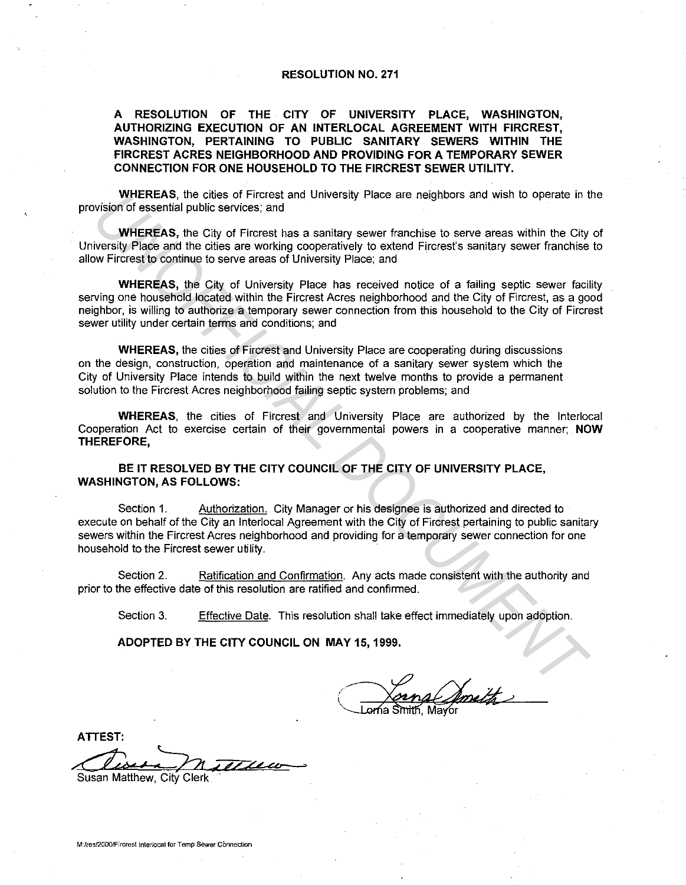## **RESOLUTION NO. 271**

## **A RESOLUTION OF THE CITY OF UNIVERSITY PLACE, WASHINGTON, AUTHORIZING EXECUTION OF AN INTERLOCAL AGREEMENT WITH FIRCREST, WASHINGTON, PERTAINING TO PUBLIC SANITARY SEWERS WITHIN THE FIRCREST ACRES NEIGHBORHOOD AND PROVIDING FOR A TEMPORARY SEWER CONNECTION FOR ONE HOUSEHOLD TO THE FIRCREST SEWER UTILITY.**

**WHEREAS,** the cities of Fircrest and University Place are neighbors and wish to operate in the provision of essential public services; and

**WHEREAS,** the City of Fircrest has a sanitary sewer franchise to serve areas within the City of University Place and the cities are working cooperatively to extend Fircrest's sanitary sewer franchise to allow Fircrest to continue to serve areas of University Place; and

**WHEREAS,** the City of University Place has received notice of a failing septic sewer facility serving one household located within the Fircrest Acres neighborhood and the City of Fircrest, as a good neighbor, is willing to authorize a temporary sewer connection from this household to the City of Fircrest sewer utility under certain terms and conditions; and

**WHEREAS,** the cities of Fircrest and University Place are cooperating during discussions on the design, construction, operation and maintenance of a sanitary sewer system which the City of University Place intends to build within the next twelve months to provide a permanent solution to the Fircrest Acres neighborhood failing septic system problems; and

**WHEREAS,** the cities of Fircrest and University Place are authorized by the lnterlocal Cooperation Act to exercise certain of their governmental powers in a cooperative manner; **NOW THEREFORE,** 

**BE IT RESOLVED BY THE CITY COUNCIL OF THE CITY OF UNIVERSITY PLACE, WASHINGTON, AS FOLLOWS:** 

Section 1. Authorization. City Manager or his designee is authorized and directed to execute on behalf of the City an lnterlocal Agreement with the City of Fircrest pertaining to public sanitary sewers within the Fircrest Acres neighborhood and providing for a temporary sewer connection for one household to the Fircrest sewer utility. WHEREAS, the clies of Fircrest and University Place are neighbors and wist to operate in the clies of Firence, and<br>WHEREAS, the City of Fircrest and University sever franchise to serve areas within the City<br>weight Place an

Section 2. Ratification and Confirmation. Any acts made consistent with the authority and prior to the effective date of this resolution are ratified and confirmed.

Section 3. Effective Date. This resolution shall take effect immediately upon adoption.

**ADOPTED BY THE CITY COUNCIL ON MAY 15, 1999.** 

orna Simith. Ma√or

**ATIEST:** 

Susan Matthew, City Clerk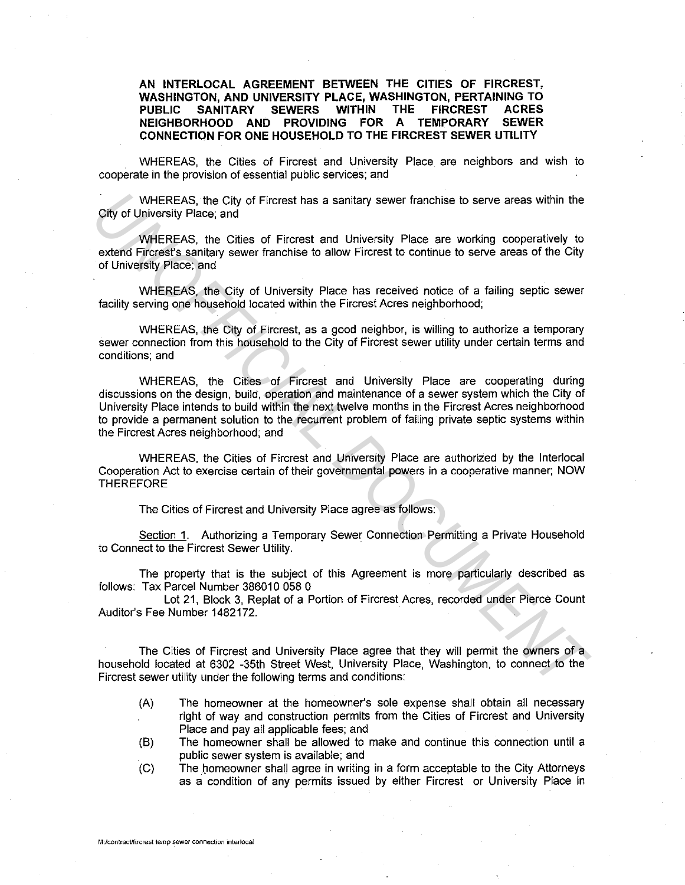**AN INTERLOCAL AGREEMENT BETWEEN THE CITIES OF FIRCREST, WASHINGTON, AND UNIVERSITY PLACE, WASHINGTON, PERTAINING TO PUBLIC SANITARY SEWERS WITHIN THE FIRCREST ACRES NEIGHBORHOOD AND PROVIDING FOR A TEMPORARY CONNECTION FOR ONE HOUSEHOLD TO THE FIRCREST SEWER UTILITY** 

WHEREAS, the Cities of Fircrest and University Place are neighbors and wish to cooperate in the provision of essential public services; and

WHEREAS, the City of Fircrest has a sanitary sewer franchise to serve areas within the City of University Place; and

WHEREAS, the Cities of Fircrest and University Place are working cooperatively to extend Fircrest's sanitary sewer franchise to allow Fircrest to continue to serve areas of the City of University Place; and

WHEREAS, the City of University Place has received notice of a failing septic sewer facility serving one household located within the Fircrest Acres neighborhood;

WHEREAS, the City of Fircrest, as a good neighbor, is willing to authorize a temporary sewer connection from this household to the City of Fircrest sewer utility under certain terms and conditions; and

WHEREAS, the Cities of Fircrest and University Place are cooperating during discussions on the design, build, operation and maintenance of a sewer system which the City of University Place intends to build within the next twelve months in the Fircrest Acres neighborhood to provide a permanent solution to the recurrent problem of failing private septic systems within the Fircrest Acres neighborhood; and WHEREAS, the City of Fircrest has a sanitary sewer franchise to serve areas within the<br>
UNIVERVIRIENCS, the City of Ericrest and University Place are working cooperatively to<br>
extend Fircrests' sanitay sever franchise to a

WHEREAS, the Cities of Fircrest and University Place are authorized by the lnterlocal Cooperation Act to exercise certain of their governmental powers in a cooperative manner; NOW THEREFORE

The Cities of Fircrest and University Place agree as follows:

Section 1. Authorizing a Temporary Sewer Connection Permitting a Private Household to Connect to the Fircrest Sewer Utility.

The property that is the subject of this Agreement is more particularly described as follows: Tax Parcel Number 386010 058 0

Lot 21, Block 3, Replat of a Portion of Fircrest Acres, recorded under Pierce Count Auditor's Fee Number 1482172.

The Cities of Fircrest and University Place agree that they will permit the owners of a household located at 6302 -35th Street West, University Place, Washington, to connect to the Fircrest sewer utility under the following terms and conditions:

- (A) The homeowner at the homeowner's sole expense shall obtain all necessary right of way and construction permits from the Cities of Fircrest and University Place and pay all applicable fees; and
- (B) The homeowner shall be allowed to make and continue this connection until a public sewer system is available; and
- (C) The homeowner shall agree in writing in a form acceptable to the City Attorneys as a condition of any permits issued by either Fircrest or University Place in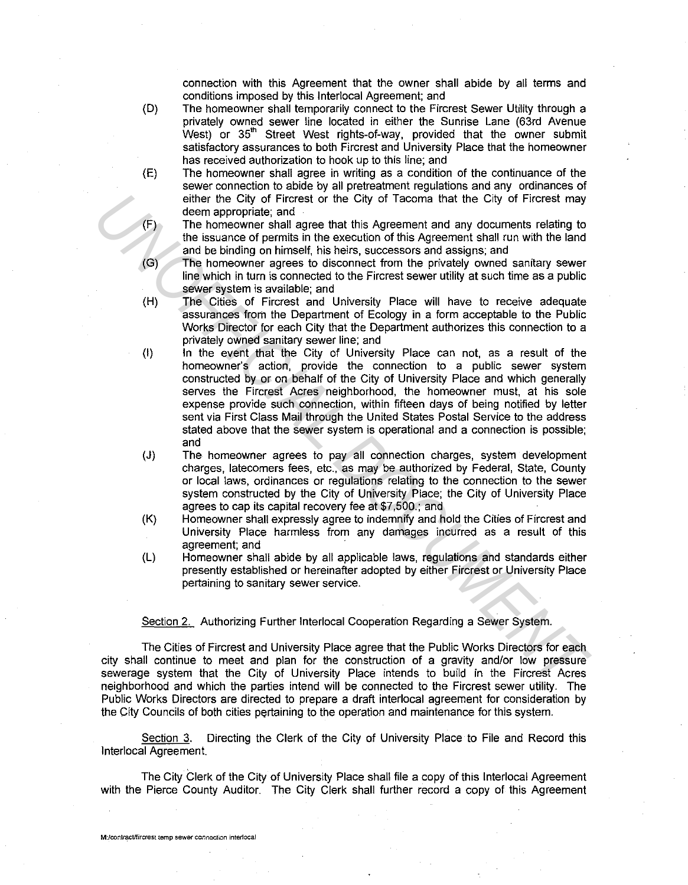connection with this Agreement that the owner shall abide by all terms and conditions imposed by this lnterlocal Agreement; and

- (D) The homeowner shall temporarily connect to the Fircrest Sewer Utility through a privately owned sewer line located in either the Sunrise Lane (63rd Avenue West) or 35<sup>th</sup> Street West rights-of-way, provided that the owner submit satisfactory assurances to both Fircrest and University Place that the homeowner has received authorization to hook up to this line; and
- (E) The homeowner shall agree in writing as a condition of the continuance of the sewer connection to abide by all pretreatment regulations and any ordinances of either the City of Fircrest or the City of Tacoma that the City of Fircrest may deem appropriate; and
- (F) The homeowner shall agree that this Agreement and any documents relating to the issuance of permits in the execution of this Agreement shall run with the land and be binding on himself, his heirs, successors and assigns; and
- (G) The homeowner agrees to disconnect from the privately owned sanitary sewer line which in turn is connected to the Fircrest sewer utility at such time as a public sewer system is available; and
- (H) The Cities of Fircrest and University Place will have to receive adequate assurances from the Department of Ecology in a form acceptable to the Public Works Director for each City that the Department authorizes this connection to a privately owned sanitary sewer line; and
- (I) In the event that the City of University Place can not, as a result of the homeowner's action, provide the connection to a public sewer system constructed by or on behalf of the City of University Place and which generally serves the Fircrest Acres neighborhood, the homeowner must, at his sole expense provide such connection, within fifteen days of being notified by letter sent via First Class Mail through the United States Postal Service to the address stated above that the sewer system is operational and a connection is possible; and effer the City of Ficrosta that the City of Ficrost and<br>the me proportine; and<br>the me comeonwer stall agree that this Agreement and any documents relation<br>the issuance of permilis in the execution of this Agreement shall r
	- (J) The homeowner agrees to pay all connection charges, system development charges, latecomers fees, etc., as may be authorized by Federal, State, County or local laws, ordinances or regulations relating to the connection to the sewer system constructed by the City of University Place; the City of University Place agrees to cap its capital recovery fee at \$7 ,500.; and
	- (K) Homeowner shall expressly agree to indemnify and hold the Cities of Fircrest and University Place harmless from any damages incurred as a result of this agreement; and
	- (L) Homeowner shall abide by all applicable laws, regulations and standards either presently established or hereinafter adopted by either Fircrest or University Place pertaining to sanitary sewer service.

Section 2. Authorizing Further Interlocal Cooperation Regarding a Sewer System.

The Cities of Fircrest and University Place agree that the Public Works Directors for each city shall continue to meet and plan for the construction of a gravity and/or low pressure sewerage system that the City of University Place intends to build in the Fircrest Acres neighborhood and which the parties intend will be connected to the Fircrest sewer utility. The Public Works Directors are directed to prepare a draft interlocal agreement for consideration by the City Councils of both cities pertaining to the operation and maintenance for this system.

Section 3. Directing the Clerk of the City of University Place to File and Record this lnterlocal Agreement.

The City Clerk of the City of University Place shall file a copy of this lnterlocal Agreement with the Pierce County Auditor. The City Clerk shall further record a copy of this Agreement